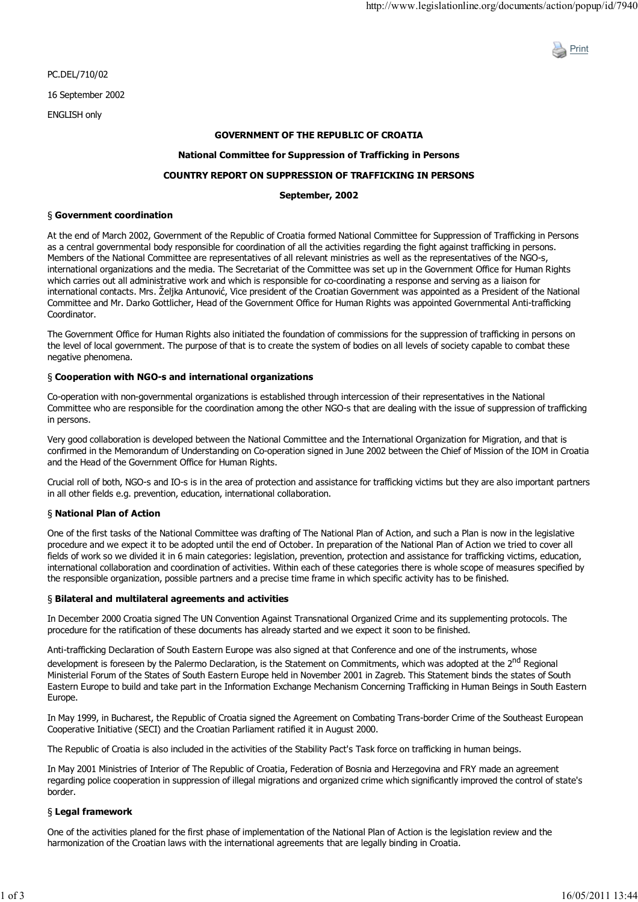

PC.DEL/710/02 16 September 2002

ENGLISH only

## **GOVERNMENT OF THE REPUBLIC OF CROATIA**

### **National Committee for Suppression of Trafficking in Persons**

# **COUNTRY REPORT ON SUPPRESSION OF TRAFFICKING IN PERSONS**

### **September, 2002**

#### § **Government coordination**

At the end of March 2002, Government of the Republic of Croatia formed National Committee for Suppression of Trafficking in Persons as a central governmental body responsible for coordination of all the activities regarding the fight against trafficking in persons. Members of the National Committee are representatives of all relevant ministries as well as the representatives of the NGO-s, international organizations and the media. The Secretariat of the Committee was set up in the Government Office for Human Rights which carries out all administrative work and which is responsible for co-coordinating a response and serving as a liaison for international contacts. Mrs. Željka Antunović, Vice president of the Croatian Government was appointed as a President of the National Committee and Mr. Darko Gottlicher, Head of the Government Office for Human Rights was appointed Governmental Anti-trafficking Coordinator.

The Government Office for Human Rights also initiated the foundation of commissions for the suppression of trafficking in persons on the level of local government. The purpose of that is to create the system of bodies on all levels of society capable to combat these negative phenomena.

#### § **Cooperation with NGO-s and international organizations**

Co-operation with non-governmental organizations is established through intercession of their representatives in the National Committee who are responsible for the coordination among the other NGO-s that are dealing with the issue of suppression of trafficking in persons.

Very good collaboration is developed between the National Committee and the International Organization for Migration, and that is confirmed in the Memorandum of Understanding on Co-operation signed in June 2002 between the Chief of Mission of the IOM in Croatia and the Head of the Government Office for Human Rights.

Crucial roll of both, NGO-s and IO-s is in the area of protection and assistance for trafficking victims but they are also important partners in all other fields e.g. prevention, education, international collaboration.

#### § **National Plan of Action**

One of the first tasks of the National Committee was drafting of The National Plan of Action, and such a Plan is now in the legislative procedure and we expect it to be adopted until the end of October. In preparation of the National Plan of Action we tried to cover all fields of work so we divided it in 6 main categories: legislation, prevention, protection and assistance for trafficking victims, education, international collaboration and coordination of activities. Within each of these categories there is whole scope of measures specified by the responsible organization, possible partners and a precise time frame in which specific activity has to be finished.

#### § **Bilateral and multilateral agreements and activities**

In December 2000 Croatia signed The UN Convention Against Transnational Organized Crime and its supplementing protocols. The procedure for the ratification of these documents has already started and we expect it soon to be finished.

Anti-trafficking Declaration of South Eastern Europe was also signed at that Conference and one of the instruments, whose development is foreseen by the Palermo Declaration, is the Statement on Commitments, which was adopted at the 2<sup>nd</sup> Regional Ministerial Forum of the States of South Eastern Europe held in November 2001 in Zagreb. This Statement binds the states of South Eastern Europe to build and take part in the Information Exchange Mechanism Concerning Trafficking in Human Beings in South Eastern Europe.

In May 1999, in Bucharest, the Republic of Croatia signed the Agreement on Combating Trans-border Crime of the Southeast European Cooperative Initiative (SECI) and the Croatian Parliament ratified it in August 2000.

The Republic of Croatia is also included in the activities of the Stability Pact's Task force on trafficking in human beings.

In May 2001 Ministries of Interior of The Republic of Croatia, Federation of Bosnia and Herzegovina and FRY made an agreement regarding police cooperation in suppression of illegal migrations and organized crime which significantly improved the control of state's border.

#### § **Legal framework**

One of the activities planed for the first phase of implementation of the National Plan of Action is the legislation review and the harmonization of the Croatian laws with the international agreements that are legally binding in Croatia.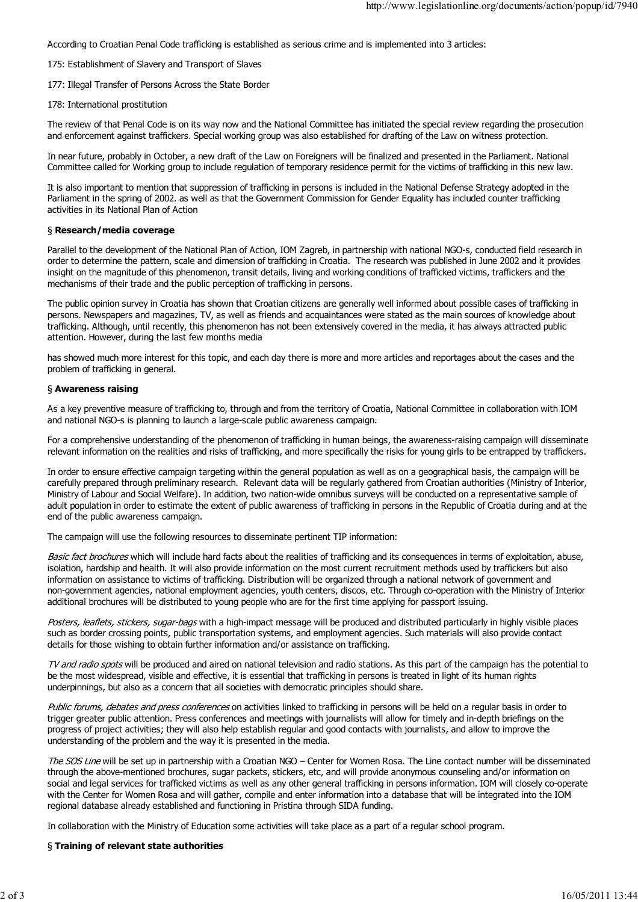According to Croatian Penal Code trafficking is established as serious crime and is implemented into 3 articles:

- 175: Establishment of Slavery and Transport of Slaves
- 177: Illegal Transfer of Persons Across the State Border
- 178: International prostitution

The review of that Penal Code is on its way now and the National Committee has initiated the special review regarding the prosecution and enforcement against traffickers. Special working group was also established for drafting of the Law on witness protection.

In near future, probably in October, a new draft of the Law on Foreigners will be finalized and presented in the Parliament. National Committee called for Working group to include regulation of temporary residence permit for the victims of trafficking in this new law.

It is also important to mention that suppression of trafficking in persons is included in the National Defense Strategy adopted in the Parliament in the spring of 2002. as well as that the Government Commission for Gender Equality has included counter trafficking activities in its National Plan of Action

### § **Research/media coverage**

Parallel to the development of the National Plan of Action, IOM Zagreb, in partnership with national NGO-s, conducted field research in order to determine the pattern, scale and dimension of trafficking in Croatia. The research was published in June 2002 and it provides insight on the magnitude of this phenomenon, transit details, living and working conditions of trafficked victims, traffickers and the mechanisms of their trade and the public perception of trafficking in persons.

The public opinion survey in Croatia has shown that Croatian citizens are generally well informed about possible cases of trafficking in persons. Newspapers and magazines, TV, as well as friends and acquaintances were stated as the main sources of knowledge about trafficking. Although, until recently, this phenomenon has not been extensively covered in the media, it has always attracted public attention. However, during the last few months media

has showed much more interest for this topic, and each day there is more and more articles and reportages about the cases and the problem of trafficking in general.

### § **Awareness raising**

As a key preventive measure of trafficking to, through and from the territory of Croatia, National Committee in collaboration with IOM and national NGO-s is planning to launch a large-scale public awareness campaign.

For a comprehensive understanding of the phenomenon of trafficking in human beings, the awareness-raising campaign will disseminate relevant information on the realities and risks of trafficking, and more specifically the risks for young girls to be entrapped by traffickers.

In order to ensure effective campaign targeting within the general population as well as on a geographical basis, the campaign will be carefully prepared through preliminary research. Relevant data will be regularly gathered from Croatian authorities (Ministry of Interior, Ministry of Labour and Social Welfare). In addition, two nation-wide omnibus surveys will be conducted on a representative sample of adult population in order to estimate the extent of public awareness of trafficking in persons in the Republic of Croatia during and at the end of the public awareness campaign.

The campaign will use the following resources to disseminate pertinent TIP information:

Basic fact brochures which will include hard facts about the realities of trafficking and its consequences in terms of exploitation, abuse, isolation, hardship and health. It will also provide information on the most current recruitment methods used by traffickers but also information on assistance to victims of trafficking. Distribution will be organized through a national network of government and non-government agencies, national employment agencies, youth centers, discos, etc. Through co-operation with the Ministry of Interior additional brochures will be distributed to young people who are for the first time applying for passport issuing.

Posters, leaflets, stickers, sugar-bags with a high-impact message will be produced and distributed particularly in highly visible places such as border crossing points, public transportation systems, and employment agencies. Such materials will also provide contact details for those wishing to obtain further information and/or assistance on trafficking.

TV and radio spots will be produced and aired on national television and radio stations. As this part of the campaign has the potential to be the most widespread, visible and effective, it is essential that trafficking in persons is treated in light of its human rights underpinnings, but also as a concern that all societies with democratic principles should share.

Public forums, debates and press conferences on activities linked to trafficking in persons will be held on a regular basis in order to trigger greater public attention. Press conferences and meetings with journalists will allow for timely and in-depth briefings on the progress of project activities; they will also help establish regular and good contacts with journalists, and allow to improve the understanding of the problem and the way it is presented in the media.

The SOS Line will be set up in partnership with a Croatian NGO – Center for Women Rosa. The Line contact number will be disseminated through the above-mentioned brochures, sugar packets, stickers, etc, and will provide anonymous counseling and/or information on social and legal services for trafficked victims as well as any other general trafficking in persons information. IOM will closely co-operate with the Center for Women Rosa and will gather, compile and enter information into a database that will be integrated into the IOM regional database already established and functioning in Pristina through SIDA funding.

In collaboration with the Ministry of Education some activities will take place as a part of a regular school program.

# § **Training of relevant state authorities**